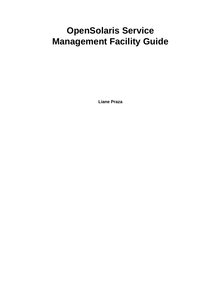# **OpenSolaris Service Management Facility Guide**

**Liane Praza**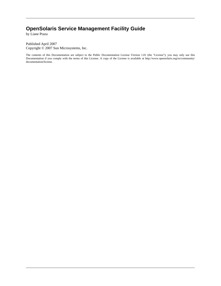### **OpenSolaris Service Management Facility Guide**

by Liane Praza

Published April 2007 Copyright © 2007 Sun Microsystems, Inc.

The contents of this Documentation are subject to the Public Documentation License Version 1.01 (the "License"); you may only use this Documentation if you comply with the terms of this License. A copy of the License is available at http://www.opensolaris.org/os/community/ documentation/license.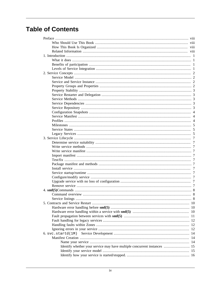### **Table of Contents**

|                                                                          | viii |
|--------------------------------------------------------------------------|------|
|                                                                          | viii |
|                                                                          |      |
|                                                                          |      |
|                                                                          |      |
|                                                                          |      |
|                                                                          |      |
|                                                                          |      |
|                                                                          |      |
|                                                                          |      |
|                                                                          |      |
|                                                                          |      |
|                                                                          |      |
|                                                                          |      |
|                                                                          |      |
|                                                                          |      |
|                                                                          |      |
|                                                                          |      |
|                                                                          |      |
|                                                                          |      |
|                                                                          |      |
|                                                                          |      |
|                                                                          | - 7  |
|                                                                          |      |
|                                                                          |      |
|                                                                          |      |
|                                                                          |      |
|                                                                          |      |
|                                                                          |      |
|                                                                          |      |
|                                                                          |      |
|                                                                          |      |
|                                                                          |      |
|                                                                          |      |
|                                                                          |      |
|                                                                          |      |
|                                                                          |      |
|                                                                          |      |
|                                                                          |      |
|                                                                          |      |
|                                                                          |      |
|                                                                          |      |
|                                                                          |      |
|                                                                          |      |
| $6. \text{svc.startd}(1M)$                                               |      |
|                                                                          |      |
|                                                                          |      |
| Identify whether your service may have multiple concurrent instances  15 |      |
|                                                                          |      |
|                                                                          |      |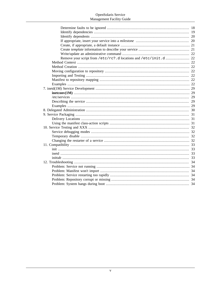| Remove your script from /etc/rc?.d locations and /etc/init.d  22 |  |
|------------------------------------------------------------------|--|
|                                                                  |  |
|                                                                  |  |
|                                                                  |  |
|                                                                  |  |
|                                                                  |  |
|                                                                  |  |
|                                                                  |  |
|                                                                  |  |
|                                                                  |  |
|                                                                  |  |
|                                                                  |  |
|                                                                  |  |
|                                                                  |  |
|                                                                  |  |
|                                                                  |  |
|                                                                  |  |
|                                                                  |  |
|                                                                  |  |
|                                                                  |  |
|                                                                  |  |
|                                                                  |  |
|                                                                  |  |
|                                                                  |  |
|                                                                  |  |
|                                                                  |  |
|                                                                  |  |
|                                                                  |  |
|                                                                  |  |
|                                                                  |  |
|                                                                  |  |
|                                                                  |  |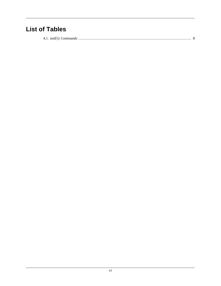### **List of Tables**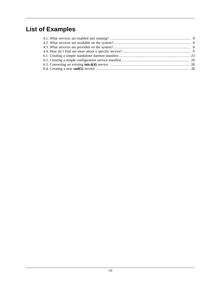# **List of Examples**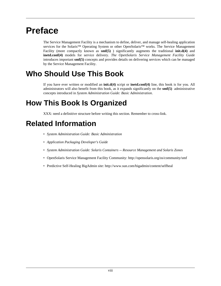# <span id="page-7-0"></span>**Preface**

The Service Management Facility is a mechanism to define, deliver, and manage self-healing application services for the Solaris™ Operating System or other OpenSolaris™ works. The Service Management Facility (more compactly known as **smf(5)** ) significantly augments the traditional **init.d(4)** and **inetd.conf(4)** models for service delivery. *The OpenSolaris Service Management Facility Guide* introduces important **smf(5)** concepts and provides details on delivering services which can be managed by the Service Management Facility.

# **Who Should Use This Book**

If you have ever written or modified an **init.d(4)** script or **inetd.conf(4)** line, this book is for you. All administrators will also benefit from this book, as it expands significantly on the **smf(5)** administrative concepts introduced in *System Administration Guide: Basic Administration*.

# **How This Book Is Organized**

XXX: need a definitive structure before writing this section. Remember to cross-link.

# **Related Information**

- *System Administration Guide: Basic Administration*
- *Application Packaging Developer's Guide*
- *System Administration Guide: Solaris Containers -- Resource Management and Solaris Zones*
- OpenSolaris Service Management Facility Community: http://opensolaris.org/os/community/smf
- Predictive Self-Healing BigAdmin site: http://www.sun.com/bigadmin/content/selfheal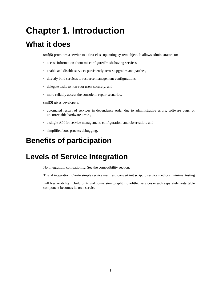# <span id="page-8-0"></span>**Chapter 1. Introduction**

# **What it does**

**smf(5)** promotes a service to a first-class operating system object. It allows administrators to:

- access information about misconfigured/misbehaving services,
- enable and disable services persistently across upgrades and patches,
- directly bind services to resource management configurations,
- delegate tasks to non-root users securely, and
- more reliably access the console in repair scenarios.

**smf(5)** gives developers:

- automated restart of services in dependency order due to administrative errors, software bugs, or uncorrectable hardware errors,
- a single API for service management, configuration, and observation, and
- simplified boot-process debugging.

# **Benefits of participation**

# **Levels of Service Integration**

No integration: compatibility. See the compatibility section.

Trivial integration: Create simple service manifest, convert init script to service methods, minimal testing

Full Restartability : Build on trivial conversion to split monolithic services -- each separately restartable component becomes its own service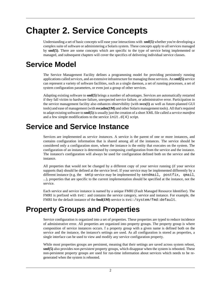# <span id="page-9-0"></span>**Chapter 2. Service Concepts**

Understanding a set of basic concepts will ease your interactions with **smf(5)** whether you're developing a complex suite of software or administering a Solaris system. These concepts apply to all services managed by **smf(5)**. There are some concepts which are specific to the type of service being implemented or managed, and subsequent chapters will cover the specifics of delivering individual service classes.

## **Service Model**

The Service Management Facility defines a programming model for providing persistently running applications called *services*, and an extensive infrastructure for managing those services. An **smf(5)** service can represent a variety of software facilities, such as a single daemon, a set of running processes, a set of system configuration parameters, or even just a group of other services.

Adapting existing software to **smf(5)** brings a number of advantages. Services are automatically restarted if they fall victim to hardware failure, unexpected service failure, or administrative error. Participation in the service management facility also enhances observibility (with **svcs(1)** as well as future-planned GUI tools) and ease of management (with **svcadm(1M)** and other Solaris management tools). All that's required to adapt existing software to **smf(5)** is usually just the creation of a short XML file called a *service manifest* and a few simple modifications to the service  $init.d(4)$  script.

# **Service and Service Instance**

Services are implemented as *service instances*. A service is the parent of one or more instances, and contains configuration information that is shared among all of the instances. The service should be considered only a configuration store, where the instance is the entity that executes on the system. The configuration of an instance is determined by composing configuration from the service and the instance. The instance's configuration will always be used for configuration defined both on the service and the instance.

All properties that would not be changed by a different copy of your service running (if your service supports that) should be defined at the service level. If your service may be implemented differently by a different instance (e.g. the smtp service may be implemented by sendmail, postfix, qmail, ...), properties that are specific to the current implementation should be specified at the instance, not the service.

Each service and service instance is named by a unique FMRI (Fault Managed Resource Identifier). The FMRI is prefixed with  $\text{svc}:$  and contains the service category, service and instance. For example, the FMRI for the default instance of the **fmd(1M)** service is svc:/system/fmd:default.

# **Property Groups and Properties**

Service configuration is organized into a set of properties. These properties are typed to reduce incidence of administrative error. All properties are organized into property groups. The property group is where composition of service instances occurs. f a property group with a given name is defined both on the service and the instance, the instance's settings are used. As all configuration is stored as properties, a single interface can be used to view and modify any service configuration property.

While most properties groups are persistent, meaning that their settings are saved across system reboot, **smf(5)** also provides *non-persistent* property groups, which disappear when the system is rebooted. These non-persistent property groups are used for run-time information about services which needs to be regenerated when the system is rebooted.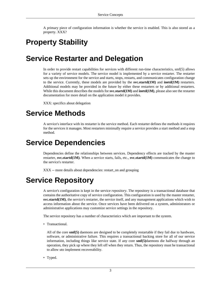A primary piece of configuration information is whether the service is enabled. This is also stored as a property. XXX?

# <span id="page-10-0"></span>**Property Stability**

# **Service Restarter and Delegation**

In order to provide restart capabilities for services with different run-time characteristics, smf(5) allows for a variety of service models. The service model is implemented by a service restarter. The restarter sets up the environment for the service and starts, stops, restarts, and communicates configuration change to the service. Currently, these models are provided by the **svc.startd(1M)** and **inetd(1M)** restarters. Additional models may be provided in the future by either these restarters or by additional restarters. While this document describes the models for **svc.startd(1M)** and **inetd(1M)**, please also see the restarter documentation for more detail on the application model it provides.

XXX: specifics about delegation

## **Service Methods**

A service's interface with its restarter is the service method. Each restarter defines the methods it requires for the services it manages. Most restarters minimally require a service provides a start method and a stop method.

# **Service Dependencies**

Dependencies define the relationships between services. Dependency effects are tracked by the master restarter, **svc.startd(1M)**. When a service starts, fails, etc., **svc.startd(1M)** communicates the change to the service's restarter.

XXX -- more details about dependencies: restart\_on and grouping

# **Service Repository**

A service's configuration is kept in the service *repository*. The repository is a transactional database that contains the authoritative copy of service configuration. This configuration is used by the master restarter, **svc.startd(1M)**, the service's restarter, the service itself, and any management applications which wish to access information about the service. Once services have been delivered on a system, administrators or administrative applications may customize service settings in the repository.

The service repository has a number of characteristics which are important to the system.

• Transactional.

All of the core **smf(5)** daemons are designed to be completely restartable if they fail due to hardware, software, or administrative failure. This requires a transactional backing store for all of our service information, including things like service state. If any core **smf(5)**daemons die halfway through an operation, they pick up where they left off when they return. Thus, the repository must be transactional to allow uto implement recoverability.

• Typed.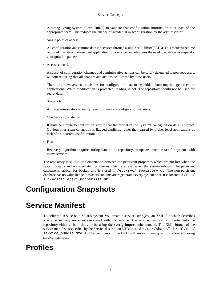<span id="page-11-0"></span>A strong typing system allows **smf(5)** to validate that configuration information is at least of the appropriate form. This reduces the chance of accidental misconfiguration by the administrator.

• Single point of access.

All configuration and runtime data is accessed through a single API: **libscf(3LIB)**. This reduces the time required to write a management application for a service, and elimiates the need to write service-specific configuration parsers.

• Access control.

A subset of configuration changes and administrative actions can be safely delegated to non-root users, without requiring that all changes and actions be allowed by those users.

There are, however, no provisions for configuration data to be hidden from unprivileged users or applications. While modification is protected, reading is not. The repository should not be used for secret data.

• Snapshots.

Allow administrators to easily revert to previous configuration versions.

• Checkable consistency.

It must be simple to confirm on startup that the format of the system's configuration data is correct. Obvious filesystem corruption is flagged explicitly rather than parsed by higher-level applications as lack of or incorrect configuration.

• Fast

Recovery algorithms require storing state in the repository, so updates must be fast for systems with many services.

The repository is split in implementation between the persistent properties which are not lost when the system restarts and non-persistent properties which are reset when the system reboots. The persistent database is critical for backup and is stored in /etc/svc/repository.db. The non-persistent database has no value in backups as its contents are regenerated every system boot. It is located in /etc/ svc/volatile/svc\_nonpersist.db.

# **Configuration Snapshots**

# **Service Manifest**

To deliver a service on a Solaris system, you create a service *manifest*, an XML file which describes a service and any instances associated with that service. The service manifest is imported into the repository either at boot time, or by using the **svccfg import** subcommand. The XML format of the service manifest is specified by the Service description DTD, located at /usr/share/lib/xml/dtd/ service\_bundle.dtd.1. The comments in the DTD will answer many questions about authoring service manifests.

## **Profiles**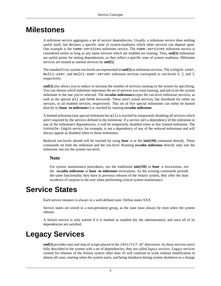### <span id="page-12-0"></span>**Milestones**

A *milestone* service aggregates a set of service dependencies. Usually, a milestone service does nothing useful itself, but declares a specific state of system-readiness which other services can depend upon. One example is the name-services milestone service. The name-services milestone service is considered *online* as long as any name services which are enabled are running. Thus, **smf(5)** milestones are useful points for setting dependencies, as they reflect a specific state of system readiness. Milestone services are treated as normal services by **smf(5)**.

The standard Unix system run-levels are represented in **smf(5)** as milestone services. The single-user, multi-user, and multi-user-server milestone services correspond to run-levels S, 2, and 3, respectively.

**smf(5)** also allows you to reduce or increase the number of services running on the system by specifying. You can choose which milestone represents the set of services you want running, and ask to set the system milestone to the one you've selected. The **svcadm milestone**accepts the run-level milestone services, as well as the special all and none keywords. These aren't actual services, but shorthand for either no services, or all enabled services, respectively. This set of five special milestones can either be booted directly to (**boot -m milestone=**) or reached by running **svcadm milestone**.

A limited milestone (any special milestone but all) is reached by temporarily disabling all services which aren't required by the services defined in the milestone. If a service isn't a dependency of the milestone or one of the milestone's dependencies, it will be temporarily disabled when in that limited milestone. The console-login service, for example, is not a dependency of any of the reduced milestones and will always appear as disabled when in those milestones.

Reduced run-levels should still be reached by using **boot -s** or the **init(1M)** command directly. These commands set both the milestone and the run-level. Running **svcadm milestone** directly only sets the milestone, but not the system run-level.

#### **Note**

For system maintenance procedures, use the traditional **init(1M)** or **boot -s** invocations, *not* the **svcadm milestone** or **boot -m milestone** invocations. As the existing commands provide the same functionality they have in previous releases of the Solaris system, they offer the least incidence of surprise to the user when performing critical system maintenance.

### **Service States**

Each service instance is always in a well-defined state. Define states XXX

Service states are stored in a non-persistent group, as the state must always be reset when the system reboots.

A Solaris service is only started if it is marked as enabled (by the administrator), and once all of its dependencies are satisfied.

## **Legacy Services**

**smf(5)** provides start and stop of scripts placed in the /etc/rc?.d/ directories. As these services aren't fully described to the system with a set of dependencies, they are called *legacy services*. Legacy services created for releases of the Solaris system older than 10 will continue to work without modification in almost all cases, starting when the system starts, and being shutdown during system shutdown or a change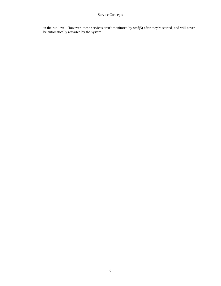in the run-level. However, these services aren't monitored by **smf(5)** after they're started, and will never be automatically restarted by the system.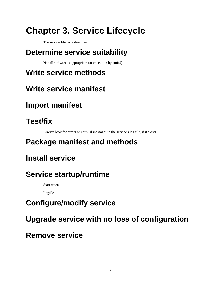# <span id="page-14-0"></span>**Chapter 3. Service Lifecycle**

The service lifecycle describes

# **Determine service suitability**

Not all software is appropriate for execution by **smf(5)**.

# **Write service methods**

# **Write service manifest**

# **Import manifest**

# **Test/fix**

Always look for errors or unusual messages in the service's log file, if it exists.

# **Package manifest and methods**

# **Install service**

# **Service startup/runtime**

Start when...

Logfiles...

# **Configure/modify service**

# **Upgrade service with no loss of configuration**

# **Remove service**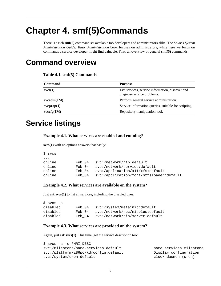# <span id="page-15-0"></span>**Chapter 4. smf(5)Commands**

There is a rich **smf(5)** command set available too developers and administrators alike. The *Solaris System Administration Guide: Basic Administration* book focuses on administrators, while here we focus on commands a service developer might find valuable. First, an overview of general **smf(5)** commands.

### **Command overview**

| Table 4.1. smf(5) Commands |  |
|----------------------------|--|
|----------------------------|--|

| <b>Command</b>      | <b>Purpose</b>                                                                 |
|---------------------|--------------------------------------------------------------------------------|
| svcs(1)             | List services, service information, discover and<br>diagnose service problems. |
| $s\text{vcadm}(1M)$ | Perform general service administration.                                        |
| sverpop(1)          | Service information queries, suitable for scripting.                           |
| svccfg(1M)          | Repository manipulation tool.                                                  |

## **Service listings**

#### **Example 4.1. What services are enabled and running?**

**svcs(1)** with no options answers that easily:

| $$$ svcs |        |                                          |
|----------|--------|------------------------------------------|
| $\cdots$ |        |                                          |
| online   | Feb 04 | svc:/network/ntp:default                 |
| online   | Feb 04 | svc:/network/service:default             |
| online   | Feb 04 | svc'/application/x11/xfs:default         |
| online   | Feb 04 | svc:/application/font/stfsloader:default |

#### **Example 4.2. What services are available on the system?**

Just ask **svcs(1)** to list all services, including the disabled ones:

| \$ svcs -a |        |                                  |
|------------|--------|----------------------------------|
| disabled   | Feb 04 | svc:/system/metainit:default     |
| disabled   | Feb 04 | svc:/network/rpc/nisplus:default |
| disabled   | Feb 04 | svc:/network/nis/server:default  |

#### **Example 4.3. What services are provided on the system?**

Again, just ask **svcs(1)**. This time, get the service description too:

```
$ svcs -a -o FMRI,DESC
svc:/milestone/name-services:default name services milestone
svc:/platform/i86pc/kdmconfig:default Display configuration
svc:/system/cron:default clock daemon (cron)
```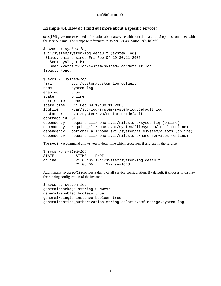#### <span id="page-16-0"></span>**Example 4.4. How do I find out more about a specific service?**

**svcs(1M)** gives more detailed information about a service with both the  $-x$  and  $-1$  options combined with the service name. The manpage references in **svcs -x** are particularly helpful.

```
$ svcs -x system-log
svc:/system/system-log:default (system log)
 State: online since Fri Feb 04 19:30:11 2005
   See: syslogd(1M)
   See: /var/svc/log/system-system-log:default.log
Impact: None.
$ svcs -l system-log
fmri svc:/system/system-log:default
name system log
enabled true
state online
next_state none
state_time Fri Feb 04 19:30:11 2005
logfile /var/svc/log/system-system-log:default.log
restarter svc:/system/svc/restarter:default
contract_id 51 
dependency require_all/none svc:/milestone/sysconfig (online)
dependency require_all/none svc:/system/filesystem/local (online)
dependency optional_all/none svc:/system/filesystem/autofs (online)
dependency require_all/none svc:/milestone/name-services (online)
```
The **svcs -p** command allows you to determine which processes, if any, are in the service.

|        | \$ svcs -p system-log |                                           |
|--------|-----------------------|-------------------------------------------|
| STATE  | STIME.                | FMR T                                     |
| online |                       | $21:06:05$ svc:/system/system-log:default |
|        | 21:06:05              | 272 syslogd                               |

Additionally, **svcprop(1)** provides a dump of all service configuration. By default, it chooses to display the running configuration of the instance.

```
$ svcprop system-log
general/package astring SUNWcsr
general/enabled boolean true
general/single_instance boolean true
general/action_authorization string solaris.smf.manage.system-log
```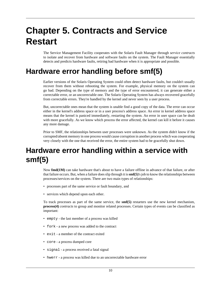# <span id="page-17-0"></span>**Chapter 5. Contracts and Service Restart**

The Service Management Facility cooperates with the Solaris Fault Manager through *service contracts* to isolate and recover from hardware and software faults on the system. The Fault Manager essentially detects and predicts hardware faults, retiring bad hardware when it is appropriate and possible.

# **Hardware error handling before smf(5)**

Earlier versions of the Solaris Operating System could often detect hardware faults, but couldn't usually recover from them without rebooting the system. For example, physical memory on the system can go bad. Depending on the type of memory and the type of error encountered, it can generate either a correctable error, or an uncorrectable one. The Solaris Operating System has always recovered gracefully from correctable errors. They're handled by the kernel and never seen by a user process.

But, uncorrectable ones mean that the system is unable find a good copy of the data. The error can occur either in the kernel's address space or in a user process's address space. An error in kernel address space means that the kernel is paniced immediately, restarting the system. An error in user space can be dealt with more gracefully. As we know which process the error affected, the kernel can kill it before it causes any more damage.

Prior to SMF, the relationships between user processes were unknown. As the system didn't know if the corrupted/absent memory in one process would cause corruption in another process which was cooperating very closely with the one that received the error, the entire system had to be gracefully shut down.

# **Hardware error handling within a service with smf(5)**

Now **fmd(1M)** can take hardware that's about to have a failure offline in advance of that failure, or after that failure occurs. But, when a failure does slip through it is **smf(5)**'s job to know the relationships between processes/services on the system. There are two main types of relationships:

- processes part of the same service or fault boundary, and
- services which depend upon each other.

To track processes as part of the same service, the **smf(5)** restarters use the new kernel mechanism, **process(4)** *contracts* to group and monitor related processes. Certain types of events can be classified as important:

- empty the last member of a process was killed
- fork a new process was added to the contract
- exit a member of the contract exited
- core a process dumped core
- signal a process received a fatal signal
- hwerr a process was killed due to an uncorrectable hardware error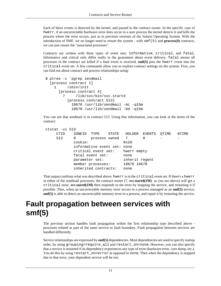<span id="page-18-0"></span>Each of these events is detected by the kernel, and passed to the contract owner. In the specific case of hwerr, if an uncorrectable hardware error does occur in a user process the kernel detects it and kills the process where the error occurs, just as in previous versions of the Solaris Operating System. With the introduction of SMF, we no longer need to restart the system - with smf(5) and **process(4)** contracts, we can just restart the "associated processes".

Contracts are written with three types of event sets: informative, critical, and fatal. Informative and critical only differ really in the guarantees about event delivery. fatal means all processes in the contract are killed if a fatal event is received. **smf(5)** puts the hwerr event into the critical event set. A few commands allow you to explore contract settings on the system. First, you can find out about contract and process relationships using:

```
 $ ptree -c `pgrep sendmail`
   [process contract 1]
     1 /sbin/init
       [process contract 4]
         7 /lib/svc/bin/svc.startd
           [process contract 513]
             18676 /usr/lib/sendmail -Ac -q15m
             18678 /usr/lib/sendmail -bd -q15m
```
You can see that sendmail is in contract 513. Using that information, you can look at the terms of the contract:

```
 ctstat -vi 513
     CTID ZONEID TYPE STATE HOLDER EVENTS QTIME NTIME 
    513 0 process owned 7 0 -
           cookie: 0x20
           informative event set: none
           critical event set: hwerr empty
           fatal event set: none
           parameter set: inherit regent
          member processes: 18676 18678
           inherited contracts: none
```
That output confirms what was described above: hwerr is in the critical event set. If there's a hwerr in either of the sendmail processes, the contract owner (7, **svc.startd(1M)** as you see above) will get a critical error. **svc.startd(1M)** then responds to the error by stopping the service, and restarting it if possible. Thus, when an uncorrectable memory error occurs in a process managed as an **smf(5)** service, **smf(5)** is able to detect an uncorrectable memory error in a process, and repair it by restarting the service.

# **Fault propagation between services with smf(5)**

The previous section handles fault propagation within the first relationship type described above processes related as part of the same service or fault boundary. Fault propagation between services are handled differently.

Service relationships are expressed by **smf(5)** dependencies. Most dependencies are used to specify startup order, by using grouping=require\_all and restart\_on=none. However, you can also specify that a service is restarted if its dependency experiences any type of error (hardware error, core dump, etc.). You do this by using restart\_on=error as opposed to none. Then when the dependency is stopped due to that error, your dependent service will be too.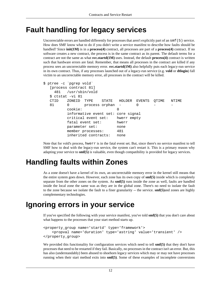# <span id="page-19-0"></span>**Fault handling for legacy services**

Uncorrectable errors are handled differently for processes that aren't explicitly part of an smf(5) service. How does SMF know what to do if you didn't write a service manifest to describe how faults should be handled? Since **init(1M)** is in a **process(4)** contract, all processes are part of a **process(4)** contract. If no software creates a new contract, the process is in the same contract as its parent. The default terms for a contract are not the same as what **svc.startd(1M)** uses. Instead, the default **process(4)** contract is written such that hardware errors are fatal. Remember, that means all processes in the contract are killed if any process sees an uncorrectable memory error. **svc.startd(1M)** also helpfully puts each legacy-run service in its own contract. Thus, if any processes launched out of a legacy-run service (e.g. **vold** or **dtlogin**) fall victim to an uncorrectable memory error, all processes in the contract will be killed.

```
$ ptree -c `pgrep vold`
   [process contract 81]
     481 /usr/sbin/vold
   $ ctstat -vi 81 
   CTID ZONEID TYPE STATE HOLDER EVENTS QTIME NTIME 
  81 0 process orphan - 0
          cookie: 0
          informative event set: core signal
          critical event set: hwerr empty
          fatal event set: hwerr
          parameter set: none
          member processes: 481
          inherited contracts: none
```
Note that for vold's process, hwerr is in the fatal event set. But, since there's no service manifest to tell SMF how to deal with the legacy-run service, the system can't restart it. This is a primary reason why adapting your service to **smf(5)** is valuable, even though compatibility is provided for legacy services.

# **Handling faults within Zones**

As a zone doesn't have a kernel of its own, an uncorrectable memory error in the kernel still means that the entire system goes down. However, each zone has its own copy of **smf(5)** inside which is completely separate from the other zones on the system. As **smf(5)** runs inside the zone as well, faults are handled inside the local zone the same was as they are in the global zone. There's no need to isolate the fault to the zone because we isolate the fault to a finer granularity -- the service. **smf(5)**and zones are highly complementary technologies.

## **Ignoring errors in your service**

If you've specified the following with your service manifest, you've told **smf(5)** that you don't care about what happens to the processes that your start method starts up.

```
<property_group name='startd' type='framework'>
     <propval name='duration' type='astring' value='transient' />
</property_group>
```
We provided this functionality for configuration services which need to tell **smf(5)** that they don't have processes that need to be restarted if they fail. Basically, no processes in the contract isn't an error. But, this has also (understandably) been abused to shoehorn legacy services which may or may not have processes running when their start method exits into **smf(5)**. Some of these examples of incomplete conversions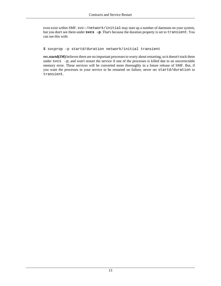even exist within SMF. svc:/network/initial may start up a number of daemons on your system, but you don't see them under **svcs -p**. That's because the duration property is set to transient. You can see this with:

\$ svcprop -p startd/duration network/initial transient

**svc.startd(1M)** believes there are no important processes to worry about restarting, so it doesn't track them under svcs -p, and won't restart the service if one of the processes is killed due to an uncorrectable memory error. These services will be converted more thoroughly in a future release of SMF. But, if you want the processes in your service to be restarted on failure, never set startd/duration to transient.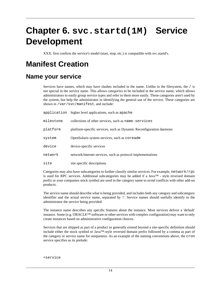# <span id="page-21-0"></span>**Chapter 6. svc.startd(1M) Service Development**

XXX: first confirm the service's model (start, stop, etc.) is compatible with svc.startd's.

# **Manifest Creation**

### **Name your service**

Services have names, which may have slashes included in the name. Unlike in the filesystem, the / is not special in the service name. This allows *categories* to be included in the service name, which allows administrators to easily group service types and refer to them more easily. These categories aren't used by the system, but help the administrator in identifying the general use of the service. These categories are shown in /var/svc/manifest, and include:

|           | application higher level applications, such as apache               |
|-----------|---------------------------------------------------------------------|
| milestone | collections of other services, such as name-services                |
| platform  | platform-specific services, such as Dynamic Reconfiguration daemons |
| system    | OpenSolaris system services, such as coreadm                        |
| device    | device-specific services                                            |
| network   | network/internet services, such as protocol implementations         |
| site      | site specific descriptions                                          |

Categories may also have subcategories to further classify similar services. For example, network/rpc is used for RPC services. Additional subcategories may be added if a Java<sup>TM</sup> - style reversed domain prefix or your companies stock symbol are used in the category name to avoid conflicts with other add-on products.

The service name should describe what is being provided, and includes both any category and subcategory identifier and the actual service name, separated by '/'. Service names should usefully identify to the administrator the service being provided.

The instance name describes any specific features about the instance. Most services deliver a 'default' instance. Some (e.g. ORACLE™ software or other services with complex configuration) may want to only create instances based on administrative configuration choices.

Services that are shipped as part of a product or generally extend beyond a site-specific definition should include either the stock symbol or Java™-style reversed domain prefix followed by a comma as part of the category or service name for uniqueness. As an example of the naming conventions above, the cron service specifies as its prelude:

#### <service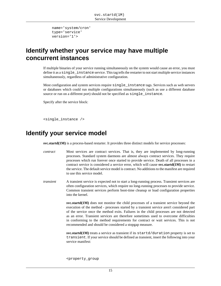```
 name='system/cron'
 type='service'
 version='1'>
```
### <span id="page-22-0"></span>**Identify whether your service may have multiple concurrent instances**

If multiple binaries of your service running simultaneously on the system would cause an error, you must define it as a single instance service. This tag tells the restarter to not start multiple service instances simultaneously, regardless of administrative configuration.

Most configuration and system services require single\_instance tags. Services such as web servers or databases which could run multiple configurations simultaneously (such as use a different database source or run on a different port) should not be specified as single instance.

Specify after the service block:

```
<single_instance />
```
### **Identify your service model**

**svc.startd(1M)** is a process-based restarter. It provides three distinct models for service processes:

- *contract* Most services are contract services. That is, they are implemented by long-running processes. Standard system daemons are almost always contract services. They require processes which run forever once started to provide service. Death of all processes in a contract service is considered a service error, which will cause **svc.startd(1M)** to restart the service. The default service model is contract. No additions to the manifest are required to use this service model.
- *transient* A transient service is expected not to start a long-running process. Transient services are often configuration services, which require no long-running processes to provide service. Common transient services perform boot-time cleanup or load configuration properties into the kernel.

**svc.startd(1M)** does not monitor the child processes of a transient service beyond the execution of the method - processes started by a transient service aren't considered part of the service once the method exits. Failures in the child processes are not detected as an error. Transient services are therefore sometimes used to overcome difficulties in conforming to the method requirements for contract or wait services. This is not recommended and should be considered a stopgap measure.

**svc.startd(1M)** treats a service as transient if its startd/duration property is set to transient. If your service should be defined as transient, insert the following into your service manifest:

<property\_group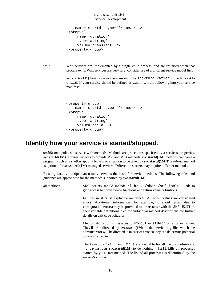```
 name='startd' type='framework'>
  <propval
      name='duration'
      type='astring'
      value='transient' />
</property_group>
```
*wait* Wait services are implemented by a single child process, and are restarted when that process exits. Wait services are very rare; consider use of a different service model first.

> **svc.startd(1M)** treats a service as transient if its startd/duration property is set to child. If your service should be defined as wait, insert the following into your service manifest:

```
<property_group
     name='startd' type='framework'>
  <propval
      name='duration'
      type='astring'
      value='child' />
</property_group>
```
### **Identify how your service is started/stopped.**

**smf(5)** manipulates a service with methods. Methods are procedures specified by a services' properties. **svc.startd(1M)** requires services to provide *stop* and *start* methods. **svc.startd(1M)** methods can name a program, such as a shell script or a binary, or an action to be taken by **svc.startd(1M)**The *refresh* method is optional for **svc.startd(1M)** managed services. Different restarters may require different methods.

Existing init.d scripts can usually serve as the basis for service methods. The following rules and guidance are appropriate for the methods supported by **svc.startd(1M)**:

all methods • Shell scripts should include /lib/svc/share/smf\_include.sh to gain access to convenience functions and return value definitions.

- Failures must cause explicit error returns. All non-0 values are considered errors. Additional information (for example, to avoid restart due to configuration errors) may be provided to the restarter with the SMF\_EXIT\_\* shell variable definitions. See the individual method descriptions for further details on exit code behavior.
- Method should print messages to stdout or stderr on error or failure. They'll be redirected by **svc.startd(1M)** to the service log file, which the administrator will be directed to in case of error so they can determine potential courses for repair.
- The keywords :kill and :true are available for all method definitions. :true instructs **svc.startd(1M)** to do nothing. :kill kills all processes started by your start method. The list of all processes is determined by the service's contract.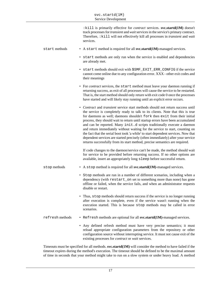|                 | : kill is primarily effective for <i>contract</i> services. svc.startd(1M) doesn't<br>track processes for <i>transient</i> and <i>wait</i> services in the service's primary contract.<br>Therefore, : kill will not effectively kill all processes in transient and wait<br>services.                                                                                                                                                                                                                                                                                                                                                                                                                                                            |
|-----------------|---------------------------------------------------------------------------------------------------------------------------------------------------------------------------------------------------------------------------------------------------------------------------------------------------------------------------------------------------------------------------------------------------------------------------------------------------------------------------------------------------------------------------------------------------------------------------------------------------------------------------------------------------------------------------------------------------------------------------------------------------|
| start methods   | • A start method is required for all svc.startd(1M)-managed services.                                                                                                                                                                                                                                                                                                                                                                                                                                                                                                                                                                                                                                                                             |
|                 | • start methods are only run when the service is enabled and dependencies<br>are already met.                                                                                                                                                                                                                                                                                                                                                                                                                                                                                                                                                                                                                                                     |
|                 | • start methods should exit with \$SMF_EXIT_ERR_CONFIG if the service<br>cannot come online due to any configuration error. XXX - other exit codes and<br>their meanings                                                                                                                                                                                                                                                                                                                                                                                                                                                                                                                                                                          |
|                 | • For contract services, the start method must leave your daemon running if<br>returning success, as exit of all processes will cause the service to be restarted.<br>That is, the start method should only return with exit code 0 once the processes<br>have started and will likely stay running until an explicit error occurs.                                                                                                                                                                                                                                                                                                                                                                                                               |
|                 | • Contract and transient service start methods should not return success until<br>the service is completely ready to talk to its clients. Note that this is true<br>for daemons as well; daemons shouldn't fork then exit from their initial<br>process, they should wait to return until startup errors have been accumulated<br>and can be reported. Many init.d scripts traditionally execute a daemon<br>and return immediately without waiting for the service to start, counting on<br>the fact that the serial boot took 'a while' to start dependent services. Now that<br>dependent services are started precisely (often immediately) after your service<br>returns successfully from its start method, precise semantics are required. |
|                 | If code changes to the daemon/service can't be made, the method should wait<br>for service to be provided before returning success. If no other options are<br>available, insert an appropriately long sleep before successful return.                                                                                                                                                                                                                                                                                                                                                                                                                                                                                                            |
| stop methods    | • A stop method is required for all svc.startd(1M)-managed services.                                                                                                                                                                                                                                                                                                                                                                                                                                                                                                                                                                                                                                                                              |
|                 | • Stop methods are run in a number of different scenarios, including when a<br>dependency (with restart_on set to something more than none) has gone<br>offline or failed, when the service fails, and when an administrator requests<br>disable or restart.                                                                                                                                                                                                                                                                                                                                                                                                                                                                                      |
|                 | • Thus, stop methods should return success if the service is no longer running<br>after execution is complete, even if the service wasn't running when the<br>execution started. This is because stop methods may be called in error<br>scenarios.                                                                                                                                                                                                                                                                                                                                                                                                                                                                                                |
| refresh methods | • Refresh methods are optional for all svc.startd(1M)-managed services.                                                                                                                                                                                                                                                                                                                                                                                                                                                                                                                                                                                                                                                                           |
|                 | • Any defined refresh method must have very precise semantics; it must<br>reload appropriate configuration parameters from the repository or other<br>configuration source without interrupting service. It must not cause exit of the<br>existing processes for <i>contract</i> or <i>wait</i> services.                                                                                                                                                                                                                                                                                                                                                                                                                                         |

Timeouts must be specified for all methods. **svc.startd(1M)** will consider the method to have failed if the timeout expires during the method's execution. The timeout should be defined to be the maximal amount of time in seconds that your method might take to run on a slow system or under heavy load. A method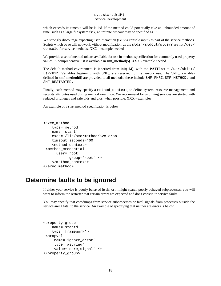<span id="page-25-0"></span>which exceeds its timeout will be killed. If the method could potentially take an unbounded amount of time, such as a large filesystem fsck, an infinite timeout may be specified as '0'.

We strongly discourage expecting user interaction (i.e. via console input) as part of the service methods. Scripts which do so will not work without modification, as the stdin/stdout/stderr are not /dev/ console for service methods. XXX - example needed

We provide a set of method tokens available for use in method specification for commonly used property values. A comprehensive list is available in **smf\_method(5)**. XXX - example needed

The default method environment is inherited from  $init(1M)$ , with the **PATH** set to /usr/sbin:/ usr/bin. Variables beginning with SMF are reserved for framework use. The SMF variables defined in **smf\_method(5)** are provided to all methods; these include SMF\_FMRI, SMF\_METHOD, and SMF\_RESTARTER.

Finally, each method may specify a method\_context, to define system, resource management, and security attributes used during method execution. We recommend long-running services are started with reduced privileges and safe uids and gids, when possible. XXX - examples

An example of a start method specification is below.

```
<exec_method
     type='method'
     name='start'
     exec='/lib/svc/method/svc-cron'
     timeout_seconds='60'
     <method_context>
  <method_credential
       user='root'
              group='root' />
     </method_context>
</exec_method>
```
### **Determine faults to be ignored**

If either your service is poorly behaved itself, or it might spawn poorly behaved subprocesses, you will want to inform the restarter that certain errors are expected and don't constitute service faults.

You may specify that coredumps from service subprocesses or fatal signals from processes outside the service aren't fatal to the service. An example of specifying that neither are errors is below.

```
<property_group
     name='startd'
     type='framework'>
  <propval
      name='ignore_error'
      type='astring'
      value='core,signal' />
</property_group>
```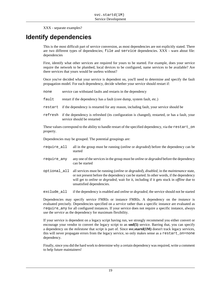XXX - separate examples?

### <span id="page-26-0"></span>**Identify dependencies**

This is the most difficult part of service conversion, as most dependencies are not explicitly stated. There are two different types of dependencies; file and service dependencies. XXX - warn about file: dependencies

First, identify what other services are required for yours to be started. For example, does your service require the network to be plumbed, local devices to be configured, name services to be available? Are there services that yours would be useless without?

Once you've decided what your service is dependent on, you'll need to determine and specify the fault propagation model. For each dependency, decide whether your service should restart if:

- none service can withstand faults and restarts in the dependency
- fault restart if the dependency has a fault (core dump, system fault, etc.)
- restart if the dependency is restarted for any reason, including fault, your service should be
- refresh if the dependency is refreshed (its configuration is changed), restarted, or has a fault, your service should be restarted

These values correspond to the ability to handle restart of the specified dependency, via the restart\_on property.

Dependencies may be grouped. The potential groupings are:

- require\_all all in the group must be running (*online* or *degraded*) before the dependency can be started
- require\_any any one of the services in the group must be *online* or *degraded* before the dependency can be started
- optional\_all all services must be running (*online* or *degraded*), *disabled*, in the *maintenance* state, or not present before the dependency can be started. In other words, if the dependency will get to *online* or *degraded*, wait for it, including if it gets stuck in *offline* due to unsatisfied dependencies.

exclude\_all if the dependency is enabled and *online* or *degraded,* the service should not be started

Dependencies may specify service FMRIs or instance FMRIs. A dependency on the *instance* is evaluated precisely. Dependencies specified on a *service* rather than a specific instance are evaluated as require\_any for all configured instances. If your service does not require a specific instance, always use the *service* as the dependency for maximum flexibility.

If your service is dependent on a legacy script having run, we strongly recommend you either convert or encourage your vendor to convert the legacy script to an **smf(5)** service. Barring that, you can specify a dependency on the *milestone* that script is part of. Since **svc.startd(1M)** doesn't track legacy services, this will never propagate errors from the legacy service, so only makes sense as a restart\_on=none dependency.

Finally, since you did the hard work to determine why a certain dependency was required, write a comment to help future maintainers!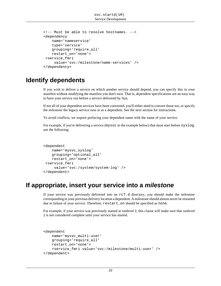```
<!-- Must be able to resolve hostnames. -->
<dependency
     name='nameservice'
     type='service'
     grouping='require_all'
     restart_on='none'>
  <service_fmri
      value='svc:/milestone/name-services' />
</dependency>
```
#### **Identify dependents**

If you wish to deliver a service on which another service should depend, you can specify this in your manifest without modifying the manifest you don't own. That is, *dependent* specifications are an easy way to have your service run before a service delivered by Sun.

If not all of your dependent services have been converted, you'll either need to convert those too, or specify the *milestone* the legacy service runs in as a dependent. See the next section for instructions.

To avoid conflicts, we require prefacing your dependent name with the name of your service.

For example, if you're delivering a service (mysvc in the example below) that must start before syslog, use the following:

```
<dependent
     name='mysvc_syslog'
     grouping='optional_all'
     restart_on='none'>
  <service_fmri
      value='svc:/system/system-log' />
</dependent>
```
### **If appropriate, insert your service into a milestone**

If your service was previously delivered into an rc?.d directory, you should make the *milestone* corresponding to your previous delivery location a dependent. A milestone should almost never be restarted due to failure of your service. Therefore, restart\_on should be specified as none.

For example, if your service was previously started at runlevel 2, this clause will make sure that runlevel 2 is not considered complete until your service has started.

```
<dependent
    name='mysvc_multi-user'
     grouping='require_all'
    restart_on='none'>
     <service_fmri value='svc:/milestone/multi-user' />
</dependent>
```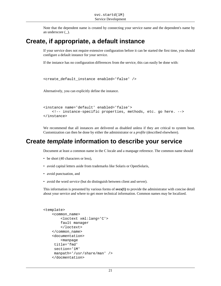Note that the dependent name is created by connecting your service name and the dependent's name by an underscore (\_).

### <span id="page-28-0"></span>**Create, if appropriate, a default instance**

If your service does not require extensive configuration before it can be started the first time, you should configure a default instance for your service.

If the instance has no configuration differences from the service, this can easily be done with:

```
<create_default_instance enabled='false' />
```
Alternatively, you can explicitly define the instance.

```
<instance name='default' enabled='false'>
     <!-- instance-specific properties, methods, etc. go here. -->
</instance>
```
We recommend that all instances are delivered as disabled unless if they are critical to system boot. Customization can then be done by either the administrator or a *profile* (described elsewhere).

#### **Create template information to describe your service**

Document at least a common name in the C locale and a manpage reference. The common name should

- be short (40 characters or less),
- avoid capital letters aside from trademarks like Solaris or OpenSolaris,
- avoid punctuation, and
- avoid the word *service* (but do distinguish between client and server).

This information is presented by various forms of **svcs(1)** to provide the administrator with concise detail about your service and where to get more technical information. Common names may be localized.

```
<template>
     <common_name>
         <loctext xml:lang='C'>
         fault manager
         </loctext>
     </common_name>
     <documentation>
         <manpage
      title='fmd'
      section='1M'
      manpath='/usr/share/man' />
     </docmentation>
```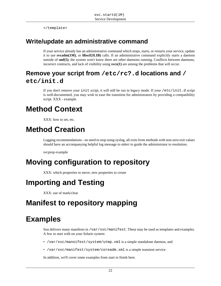</template>

### <span id="page-29-0"></span>**Write/update an administrative command**

If your service already has an administrative command which stops, starts, or restarts your service, update it to use **svcadm(1M)**, or **libscf(3LIB)** calls. If an administrative command explicitly starts a daemon outside of **smf(5)**, the system won't know there are other daemons running. Conflicts between daemons, incorrect contracts, and lack of visibility using **svcs(1)** are among the problems that will occur.

### **Remove your script from /etc/rc?.d locations and / etc/init.d**

If you don't remove your init script, it will still be run in legacy mode. If your /etc/init.d script is well-documented, you may wish to ease the transition for administrators by providing a compatibility script. XXX - example.

# **Method Context**

XXX: how to set, etc.

# **Method Creation**

Logging recommendations - no need to stop using syslog, all exits from methods with non-zero exit values should have an accompanying helpful log message to stderr to guide the administrator to resolution.

svcprop example

# **Moving configuration to repository**

XXX: which properties to move, new properties to create

# **Importing and Testing**

XXX: use of mark/clear

# **Manifest to repository mapping**

# **Examples**

Sun delivers many manifests in  $\sqrt{var/svc/mani\text{f}c}$ . These may be used as templates and examples. A few to start with on your Solaris system:

- /var/svc/manoifest/system/utmp.xml is a simple standalone daemon, and
- /var/svc/manifest/system/coreadm.xml is a simple transient service

In addition, we'll cover some examples from start to finish here.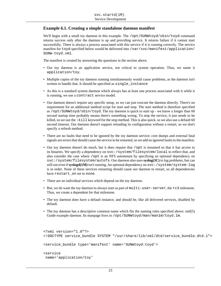#### <span id="page-30-0"></span>**Example 6.1. Creating a simple standalone daemon manifest**

We'll begin with a small toy daemon in this example. The /opt/SUNWtoyd/sbin/toyd command returns success only after the daemon is up and providing service. It returns failure if it cannot start successfully. There is always a process associated with this service if it is running correctly. The service manifest for toyd specified below would be delivered into /var/svc/manifest/application/ SUNW-toyd.xml.

The manifest is created by answering the questions in the section above.

- Our toy daemon is an application service, not critical to system operation. Thus, we name it application/toy.
- Multiple copies of the toy daemon running simultaneously would cause problems, as the daemon isn't written to handle that. It should be specified as single\_instance
- As this is a standard system daemon which always has at least one process associated with it while it is running, we use a contract service model.
- Our daemon doesn't require any specific setup, so we can just execute the daemon directly. There's no requirement for an additional method script for start and stop. The start method is therefore specified as /opt/SUNWtoyd/sbin/toyd. The toy daemon is quick to start up - we know a longer than 60 second startup time probably means there's something wrong. To stop the service, it just needs to be killed, so we use the : kill keyword for the stop method. This is also quick, so we also use a default 60 second timeout. Our daemon doesn't support reloading its configuration without a restart, so we don't specify a refresh method.
- There are no faults that need to be ignored by the toy daemon service; core dumps and external fatal signals are errors that should cause the service to be restarted, so we add no ignored faults to the manifest.
- Our toy daemon doesn't do much, but it does require that /opt is mounted so that it has access to its binaries. We specify a dependency on svc:/system/filesystem/local to reflect that, and also consider the case where /opt is an NFS automount by specifying an optional dependency on svc:/system/filesystem/autofs. Our daemon also uses **syslog(3C)** to log problems, but can still run even if **syslogd(1M)** isn't running. An optional dependency on svc:/system/system-log is in order. None of these services restarting should cause our daemon to restart, so all dependencies have restart on set to none.
- There are no individual services which depend on the toy daemon.
- But, we do want the toy daemon to always start as part of multi-user-server, the rc3 milestone. Thus, we create a dependent for that milestone.
- The toy daemon does have a default instance, and should be, like all delivered services, disabled by default.
- The toy daemon has a descriptive common name which fits the naming rules specified above: smf(5) Guide example daemon. Its manpage lives in /opt/SUNWtoyd/man/man1m/toyd.1m.

```
<?xml version="1.0"?>
<!DOCTYPE service_bundle SYSTEM "/usr/share/lib/xml/dtd/service_bundle.dtd.1">
<service_bundle type='manifest' name='SUNWtoyd:toyd'>
<service
 name='application/toy'
```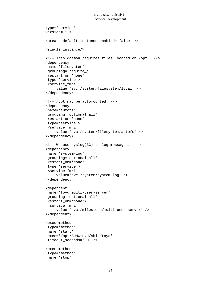```
 type='service'
 version='1'>
 <create_default_instance enabled='false' />
 <single_instance/>
 <!-- This daemon requires files located on /opt. -->
 <dependency
  name='filesystem'
  grouping='require_all'
  restart_on='none'
  type='service'>
  <service_fmri
      value='svc:/system/filesystem/local' />
 </dependency>
 <!-- /opt may be automounted -->
 <dependency
  name='autofs'
  grouping='optional_all'
  restart_on='none'
  type='service'>
  <service_fmri
      value='svc:/system/filesystem/autofs' />
 </dependency>
 <!-- We use syslog(3C) to log messages. -->
 <dependency
 name='system-log'
  grouping='optional_all'
  restart_on='none'
  type='service'>
  <service_fmri
      value='svc:/system/system-log' />
 </dependency>
 <dependent
  name='toyd_multi-user-server'
  grouping='optional_all'
  restart_on='none'>
  <service_fmri
      value='svc:/milestone/multi-user-server' />
 </dependent>
 <exec_method
  type='method'
 name='start'
  exec='/opt/SUNWtoyd/sbin/toyd'
  timeout_seconds='60' />
 <exec_method
  type='method'
  name='stop'
```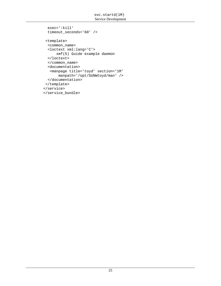```
 exec=':kill'
  timeout_seconds='60' />
  <template>
   <common_name>
   <loctext xml:lang='C'>
       smf(5) Guide example daemon
   </loctext>
   </common_name>
   <documentation>
   <manpage title='toyd' section='1M'
        manpath='/opt/SUNWtoyd/man' />
  </documentation>
 </template>
</service>
</service_bundle>
```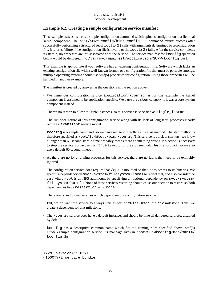#### <span id="page-33-0"></span>**Example 6.2. Creating a simple configuration service manifest**

This example uses as its basis a simple configuration command which uploads configuration to a fictional kernel component. The /opt/SUNWkconfig/bin/kconfig -u command returns success after successfully performing a structured set of ioctl (2) calls with arguments determined by a configuration file. It returns failure if the configuration file is invalid or the ioctl(2) fails. After the service completes its startup, no processes are left associated with the service. The service manifest for kconfig specified below would be delivered into /var/svc/manifest/application/SUNW-kconfig.xml.

This example is appropriate if your software has an existing configuration file. Software which lacks an existing configuration file with a well-known format, or a configuration file that must be portable amongst multiple operating systems should use **smf(5)** properties for configuration. Using those properties will be handled in another example.

The manifest is created by answering the questions in the section above.

- We name our configuration service application/kconfig, as for this example the kernel component is assumed to be application-specific. We'd use a system category if it was a core system component instead.
- There's no reason to allow multiple instances, so this service is specified as  $single\_instance$
- The run-once nature of this configuration service along with its lack of long-term processes clearly require a transient service model.
- kconfig is a simple command, so we can execute it directly as the start method. The start method is therefore specified as /opt/SUNWtoyd/bin/kconfig. This service is quick to start up - we know a longer than 60 second startup time probably means there's something wrong. No action is necessary to stop the service, so we use the :true keyword for the stop method. This is also quick, so we also use a default 60 second timeout.
- As there are no long-running processes for this service, there are no faults that need to be explicitly ignored.
- The configuration service does require that /opt is mounted so that it has access to its binaries. We specify a dependency on svc:/system/filesystem/local to reflect that, and also consider the case where /opt is an NFS automount by specifying an optional dependency on svc:/system/ filesystem/autofs. None of these services restarting should cause our daemon to restart, so both dependencies have restart\_on set to none.
- There are no individual services which depend on our configuration service.
- But, we do want the service to always start as part of multi-user, the rc2 milestone. Thus, we create a dependent for that milestone.
- The kconfig service does have a default instance, and should be, like all delivered services, disabled by default.
- kconfig has a descriptive common name which fits the naming rules specified above: smf(5) Guide example configuration service. Its manpage lives in /opt/SUNWkconfig/man/man1m/ kconfig.1m.

<?xml version="1.0"?> <!DOCTYPE service\_bundle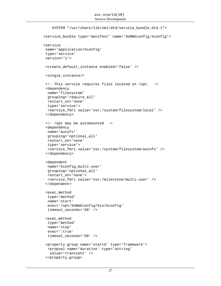```
 SYSTEM "/usr/share/lib/xml/dtd/service_bundle.dtd.1">
<service_bundle type='manifest' name='SUNWkconfig:kconfig'>
<service
 name='application/kconfig'
 type='service'
 version='1'>
 <create_default_instance enabled='false' />
 <single_instance/>
  <!- This service requires files located on /opt. ->
  <dependency
  name='filesystem'
   grouping='require_all'
  restart_on='none'
  type='service'>
   <service_fmri value='svc:/system/filesystem/local' />
  </dependency>
  <!- /opt may be automounted ->
  <dependency
  name='autofs'
  grouping='optional_all'
  restart_on='none'
  type='service'>
   <service_fmri value='svc:/system/filesystem/autofs' />
  </dependency>
  <dependent
  name='kconfig_multi-user'
  grouping='optional_all'
  restart_on='none'>
   <service_fmri value='svc:/milestone/multi-user' />
  </dependent>
  <exec_method
   type='method'
  name='start'
   exec='/opt/SUNWkconfig/bin/kconfig'
   timeout_seconds='60' />
  <exec_method
   type='method'
  name='stop'
   exec=':true'
  timeout_seconds='60' />
  <property_group name='startd' type='framework'>
   <propval name='duration' type='astring'
   value='transient' />
  </property_group>
```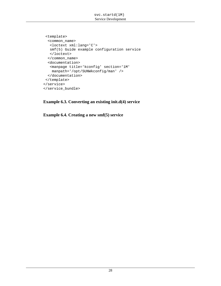```
 <template>
  <common_name>
   <loctext xml:lang='C'>
   smf(5) Guide example configuration service
   </loctext>
   </common_name>
   <documentation>
    <manpage title='kconfig' section='1M'
    manpath='/opt/SUNWkconfig/man' />
  </documentation>
 </template>
</service>
</service_bundle>
```
**Example 6.3. Converting an existing init.d(4) service**

**Example 6.4. Creating a new smf(5) service**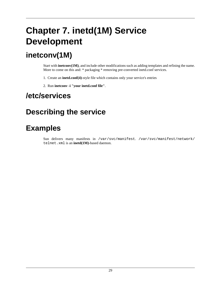# <span id="page-36-0"></span>**Chapter 7. inetd(1M) Service Development**

# **inetconv(1M)**

Start with **inetconv(1M)**, and include other modifications such as adding templates and refining the name. More to come on this and: \* packaging \* removing pre-converted inetd.conf services.

- 1. Create an **inetd.conf(4)**-style file which contains only your service's entries
- 2. Run **inetconv -i "your inetd.conf file"**.

# **/etc/services**

# **Describing the service**

# **Examples**

Sun delivers many manifests in /var/svc/manifest. /var/svc/manifest/network/ telnet.xml is an **inetd(1M)**-based daemon.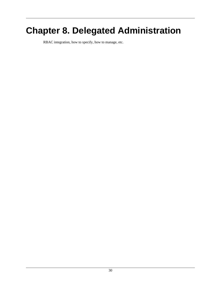# <span id="page-37-0"></span>**Chapter 8. Delegated Administration**

RBAC integration, how to specify, how to manage, etc.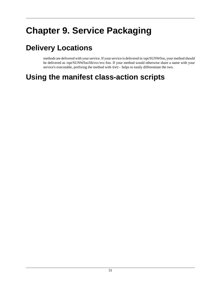# <span id="page-38-0"></span>**Chapter 9. Service Packaging**

# **Delivery Locations**

methods are delivered with your service. If your service is delivered in /opt/SUNWfoo, your method should be delivered as /opt/SUNWfoo/lib/svc/svc-foo. If your method would otherwise share a name with your service's executable, prefixing the method with svc- helps to easily differentiate the two.

# **Using the manifest class-action scripts**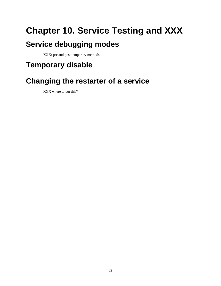# <span id="page-39-0"></span>**Chapter 10. Service Testing and XXX**

# **Service debugging modes**

XXX: pre and post temporary methods

# **Temporary disable**

# **Changing the restarter of a service**

XXX where to put this?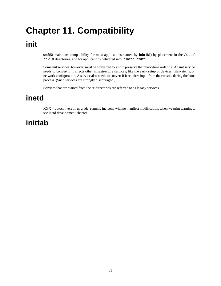# <span id="page-40-0"></span>**Chapter 11. Compatibility**

# **init**

**smf(5)** maintains compatibility for most applications started by **init(1M)** by placement in the /etc/ rc?.d directories, and for applications delivered into inetd.conf.

Some init services, however, must be converted to smf to preserve their boot-time ordering. An init service needs to convert if it affects other infrastructure services, like the early setup of devices, filesystems, or network configuration. A service also needs to convert if it requires input from the console during the boot process. (Such services are strongly discouraged.)

Services that are started from the rc directories are referred to as legacy services.

## **inetd**

XXX -- autoconvert on upgrade, running inetconv with no manifest modification, when we print warnings, see inetd development chapter

# **inittab**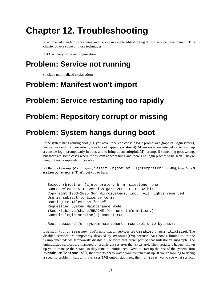# <span id="page-41-0"></span>**Chapter 12. Troubleshooting**

A number of standard procedures and tricks can ease troubleshooting during service development. This chapter covers some of those techniques.

XXX -- likely different organization.

# **Problem: Service not running**

(include uninitialized explanation)

# **Problem: Manifest won't import**

# **Problem: Service restarting too rapidly**

# **Problem: Repository corrupt or missing**

# **Problem: System hangs during boot**

If the system hangs during boot (e.g. you never receive a console login prompt or a graphical login screen), you can use **smf(5)** to essentially watch boot happen. **svc.startd(1M)** makes a concerted effort to bring up a console login prompt early in boot, and to bring up an **sulogin(1M)** prompt if something goes wrong, but there are some cases where the system appears hung and there's no login prompt to be seen. They're rare, but not completely impossible.

At the boot prompt (ok on sparc, Select (b)oot or (i)nterpreter: on x86), type **b -m milestone=none**. That'll get you to here:

 Select (b)oot or (i)nterpreter: b -m milestone=none SunOS Release 5.10 Version gate:2005-01-10 32-bit Copyright 1983-2005 Sun Microsystems, Inc. All rights reserved. Use is subject to license terms. Booting to milestone "none". Requesting System Maintenance Mode (See /lib/svc/share/README for more information.) Console login service(s) cannot run

Root password for system maintenance (control-d to bypass):

Log in. If you run **svcs** now, you'll note that all services are disabled or uninitialized. The disabled services are temporarily disabled by **svc.startd(1M)** because that's how a limited milestone is implemented: we temporarily disable all services that aren't part of that milestone's subgraph. The uninitialized services are managed by a different restarter than svc.startd. Their restarters haven't shown up yet to manage their state, so they remain uninitialized. Now, to start up the rest of the system. Run **svcadm milestone all**, then use **svcs** to watch your system start up. If you're looking to debug a specific problem, wait until the **svcs(1M)** output stabilizes, then run **svcs -x** to see what services